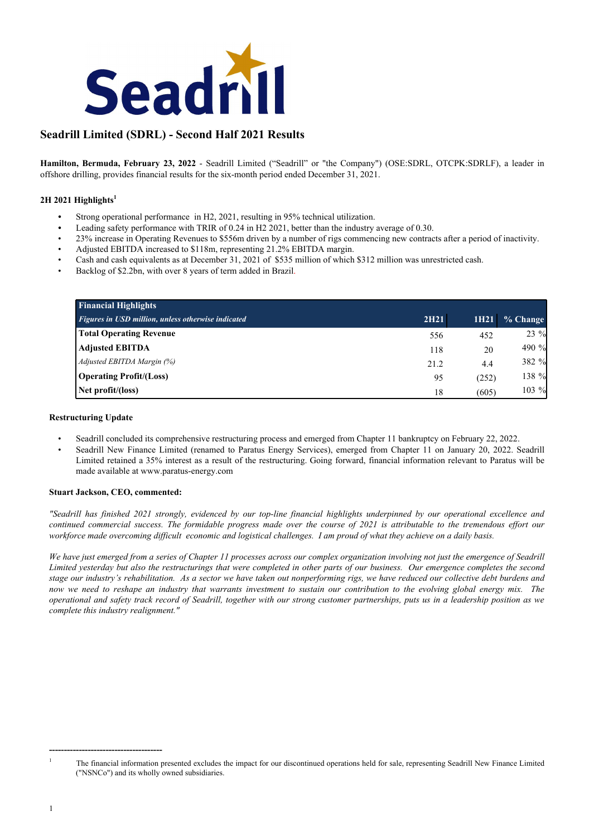

# **Seadrill Limited (SDRL) - Second Half 2021 Results**

**Hamilton, Bermuda, February 23, 2022** - Seadrill Limited ("Seadrill" or "the Company") (OSE:SDRL, OTCPK:SDRLF), a leader in offshore drilling, provides financial results for the six-month period ended December 31, 2021.

### **2H 2021 Highlights<sup>1</sup>**

- Strong operational performance in H2, 2021, resulting in 95% technical utilization.
- Leading safety performance with TRIR of 0.24 in H2 2021, better than the industry average of 0.30.
- 23% increase in Operating Revenues to \$556m driven by a number of rigs commencing new contracts after a period of inactivity.
- Adjusted EBITDA increased to \$118m, representing 21.2% EBITDA margin.
- Cash and cash equivalents as at December 31, 2021 of \$535 million of which \$312 million was unrestricted cash.
- Backlog of \$2.2bn, with over 8 years of term added in Brazil.

| <b>Financial Highlights</b>                                     |      |       |            |
|-----------------------------------------------------------------|------|-------|------------|
| Figures in $\overline{USD}$ million, unless otherwise indicated | 2H21 | 1H21  | $%$ Change |
| Total Operating Revenue                                         | 556  | 452   | $23 \%$    |
| <b>Adjusted EBITDA</b>                                          | 118  | 20    | 490 %      |
| Adjusted EBITDA Margin (%)                                      | 21.2 | 4.4   | 382 %      |
| <b>Operating Profit/(Loss)</b>                                  | 95   | (252) | 138 %      |
| Net profit/(loss)                                               | 18   | (605) | 103 %      |

### **Restructuring Update**

- Seadrill concluded its comprehensive restructuring process and emerged from Chapter 11 bankruptcy on February 22, 2022.
- Seadrill New Finance Limited (renamed to Paratus Energy Services), emerged from Chapter 11 on January 20, 2022. Seadrill Limited retained a 35% interest as a result of the restructuring. Going forward, financial information relevant to Paratus will be made available at www.paratus-energy.com

#### **Stuart Jackson, CEO, commented:**

*"Seadrill has finished 2021 strongly, evidenced by our top-line financial highlights underpinned by our operational excellence and*  continued commercial success. The formidable progress made over the course of 2021 is attributable to the tremendous effort our *workforce made overcoming difficult economic and logistical challenges. I am proud of what they achieve on a daily basis.* 

*We have just emerged from a series of Chapter 11 processes across our complex organization involving not just the emergence of Seadrill Limited yesterday but also the restructurings that were completed in other parts of our business. Our emergence completes the second stage our industry's rehabilitation. As a sector we have taken out nonperforming rigs, we have reduced our collective debt burdens and now we need to reshape an industry that warrants investment to sustain our contribution to the evolving global energy mix. The operational and safety track record of Seadrill, together with our strong customer partnerships, puts us in a leadership position as we complete this industry realignment."*

**--------------------------------------**

<sup>1</sup>

The financial information presented excludes the impact for our discontinued operations held for sale, representing Seadrill New Finance Limited ("NSNCo") and its wholly owned subsidiaries.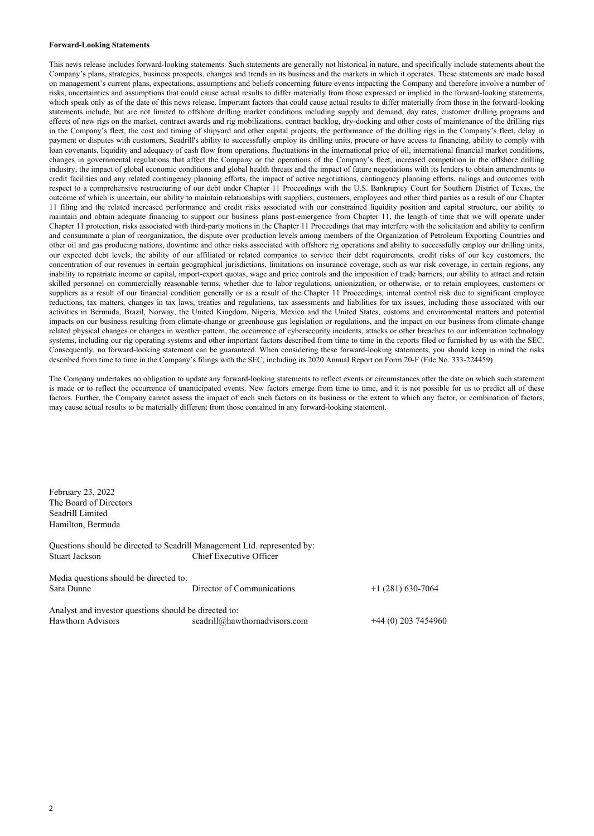#### **Forward-Looking Statements**

This news release includes forward-looking statements. Such statements are generally not historical in nature, and specifically include statements about the Company's plans, strategies, business prospects, changes and trends in its business and the markets in which it operates. These statements are made based on management's current plans, expectations, assumptions and beliefs concerning future events impacting the Company and therefore involve a number of risks, uncertainties and assumptions that could cause actual results to differ materially from those expressed or implied in the forward-looking statements, which speak only as of the date of this news release. Important factors that could cause actual results to differ materially from those in the forward-looking statements include, but are not limited to offshore drilling market conditions including supply and demand, day rates, customer drilling programs and effects of new rigs on the market, contract awards and rig mobilizations, contract backlog, dry-docking and other costs of maintenance of the drilling rigs in the Company's fleet, the cost and timing of shipyard and other capital projects, the performance of the drilling rigs in the Company's fleet, delay in payment or disputes with customers, Seadrill's ability to successfully employ its drilling units, procure or have access to financing, ability to comply with loan covenants, liquidity and adequacy of cash flow from operations, fluctuations in the international price of oil, international financial market conditions, changes in governmental regulations that affect the Company or the operations of the Company's fleet, increased competition in the offshore drilling industry, the impact of global economic conditions and global health threats and the impact of future negotiations with its lenders to obtain amendments to credit facilities and any related contingency planning efforts, the impact of active negotiations, contingency planning efforts, rulings and outcomes with respect to a comprehensive restructuring of our debt under Chapter 11 Proceedings with the U.S. Bankruptcy Court for Southern District of Texas, the outcome of which is uncertain, our ability to maintain relationships with suppliers, customers, employees and other third parties as a result of our Chapter 11 filing and the related increased performance and credit risks associated with our constrained liquidity position and capital structure, our ability to maintain and obtain adequate financing to support our business plans post-emergence from Chapter 11, the length of time that we will operate under Chapter 11 protection, risks associated with third-party motions in the Chapter 11 Proceedings that may interfere with the solicitation and ability to confirm and consummate a plan of reorganization, the dispute over production levels among members of the Organization of Petroleum Exporting Countries and other oil and gas producing nations, downtime and other risks associated with offshore rig operations and ability to successfully employ our drilling units, our expected debt levels, the ability of our affiliated or related companies to service their debt requirements, credit risks of our key customers, the concentration of our revenues in certain geographical jurisdictions, limitations on insurance coverage, such as war risk coverage, in certain regions, any inability to repatriate income or capital, import-export quotas, wage and price controls and the imposition of trade barriers, our ability to attract and retain skilled personnel on commercially reasonable terms, whether due to labor regulations, unionization, or otherwise, or to retain employees, customers or suppliers as a result of our financial condition generally or as a result of the Chapter 11 Proceedings, internal control risk due to significant employee reductions, tax matters, changes in tax laws, treaties and regulations, tax assessments and liabilities for tax issues, including those associated with our activities in Bermuda, Brazil, Norway, the United Kingdom, Nigeria, Mexico and the United States, customs and environmental matters and potential impacts on our business resulting from climate-change or greenhouse gas legislation or regulations, and the impact on our business from climate-change related physical changes or changes in weather pattern, the occurrence of cybersecurity incidents, attacks or other breaches to our information technology systems, including our rig operating systems and other important factors described from time to time in the reports filed or furnished by us with the SEC. Consequently, no forward-looking statement can be guaranteed. When considering these forward-looking statements, you should keep in mind the risks described from time to time in the Company's filings with the SEC, including its 2020 Annual Report on Form 20-F (File No. 333-224459)

The Company undertakes no obligation to update any forward-looking statements to reflect events or circumstances after the date on which such statement is made or to reflect the occurrence of unanticipated events. New factors emerge from time to time, and it is not possible for us to predict all of these factors. Further, the Company cannot assess the impact of each such factors on its business or the extent to which any factor, or combination of factors, may cause actual results to be materially different from those contained in any forward-looking statement.

February 23, 2022 The Board of Directors Seadrill Limited Hamilton, Bermuda

Questions should be directed to Seadrill Management Ltd. represented by: Stuart Jackson Chief Executive Officer

Media questions should be directed to: Sara Dunne Director of Communications +1 (281) 630-7064

Analyst and investor questions should be directed to: Hawthorn Advisors seadrill@hawthornadvisors.com +44 (0) 203 7454960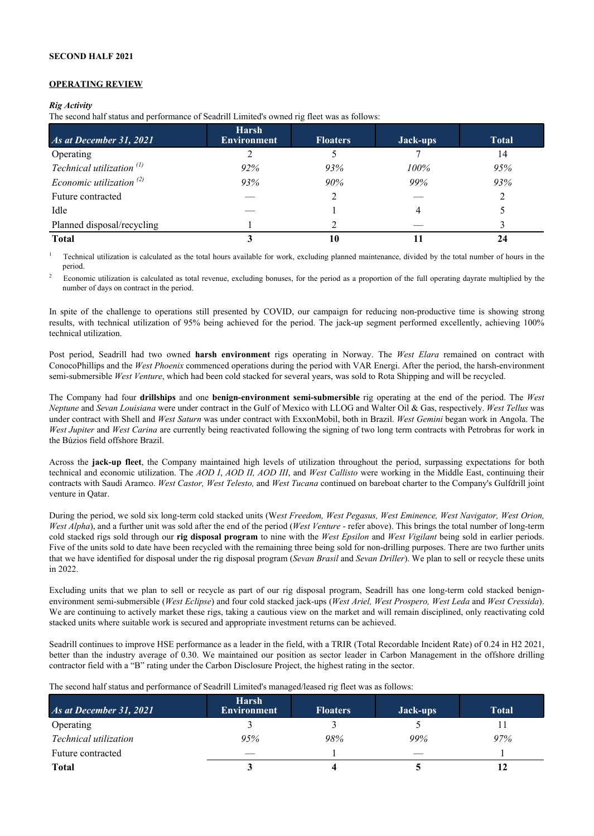### **OPERATING REVIEW**

#### *Rig Activity*

The second half status and performance of Seadrill Limited's owned rig fleet was as follows:

| As at December 31, 2021              | <b>Harsh</b><br><b>Environment</b> | <b>Floaters</b> | Jack-ups | Total |
|--------------------------------------|------------------------------------|-----------------|----------|-------|
| Operating                            |                                    |                 |          | 14    |
| Technical utilization $\binom{1}{k}$ | 92%                                | 93%             | $100\%$  | 95%   |
| Economic utilization $(2)$           | 93%                                | 90%             | 99%      | 93%   |
| Future contracted                    |                                    |                 |          |       |
| Idle                                 |                                    |                 |          |       |
| Planned disposal/recycling           |                                    |                 |          |       |
| <b>Total</b>                         |                                    |                 |          | 24    |

1 Technical utilization is calculated as the total hours available for work, excluding planned maintenance, divided by the total number of hours in the period.

<sup>2</sup>Economic utilization is calculated as total revenue, excluding bonuses, for the period as a proportion of the full operating dayrate multiplied by the number of days on contract in the period.

In spite of the challenge to operations still presented by COVID, our campaign for reducing non-productive time is showing strong results, with technical utilization of 95% being achieved for the period. The jack-up segment performed excellently, achieving 100% technical utilization.

Post period, Seadrill had two owned **harsh environment** rigs operating in Norway. The *West Elara* remained on contract with ConocoPhillips and the *West Phoenix* commenced operations during the period with VAR Energi. After the period, the harsh-environment semi-submersible *West Venture*, which had been cold stacked for several years, was sold to Rota Shipping and will be recycled.

The Company had four **drillships** and one **benign-environment semi-submersible** rig operating at the end of the period. The *West Neptune* and *Sevan Louisiana* were under contract in the Gulf of Mexico with LLOG and Walter Oil & Gas, respectively. *West Tellus* was under contract with Shell and *West Saturn* was under contract with ExxonMobil, both in Brazil. *West Gemini* began work in Angola. The *West Jupiter* and *West Carina* are currently being reactivated following the signing of two long term contracts with Petrobras for work in the Búzios field offshore Brazil.

Across the **jack-up fleet**, the Company maintained high levels of utilization throughout the period, surpassing expectations for both technical and economic utilization. The *AOD I*, *AOD II, AOD III*, and *West Callisto* were working in the Middle East, continuing their contracts with Saudi Aramco. *West Castor, West Telesto,* and *West Tucana* continued on bareboat charter to the Company's Gulfdrill joint venture in Qatar.

During the period, we sold six long-term cold stacked units (W*est Freedom, West Pegasus, West Eminence, West Navigator, West Orion, West Alpha*), and a further unit was sold after the end of the period (*West Venture* - refer above). This brings the total number of long-term cold stacked rigs sold through our **rig disposal program** to nine with the *West Epsilon* and *West Vigilant* being sold in earlier periods. Five of the units sold to date have been recycled with the remaining three being sold for non-drilling purposes. There are two further units that we have identified for disposal under the rig disposal program (*Sevan Brasil* and *Sevan Driller*). We plan to sell or recycle these units in 2022.

Excluding units that we plan to sell or recycle as part of our rig disposal program, Seadrill has one long-term cold stacked benignenvironment semi-submersible (*West Eclipse*) and four cold stacked jack-ups (*West Ariel, West Prospero, West Leda* and *West Cressida*). We are continuing to actively market these rigs, taking a cautious view on the market and will remain disciplined, only reactivating cold stacked units where suitable work is secured and appropriate investment returns can be achieved.

Seadrill continues to improve HSE performance as a leader in the field, with a TRIR (Total Recordable Incident Rate) of 0.24 in H2 2021, better than the industry average of 0.30. We maintained our position as sector leader in Carbon Management in the offshore drilling contractor field with a "B" rating under the Carbon Disclosure Project, the highest rating in the sector.

The second half status and performance of Seadrill Limited's managed/leased rig fleet was as follows:

| As at December 31, 2021 | Harsh<br><b>Environment</b> | <b>Floaters</b> | Jack-ups | Total |
|-------------------------|-----------------------------|-----------------|----------|-------|
| Operating               |                             |                 |          |       |
| Technical utilization   | 95%                         | 98%             | 99%      | 97%   |
| Future contracted       |                             |                 |          |       |
| <b>Total</b>            |                             |                 |          |       |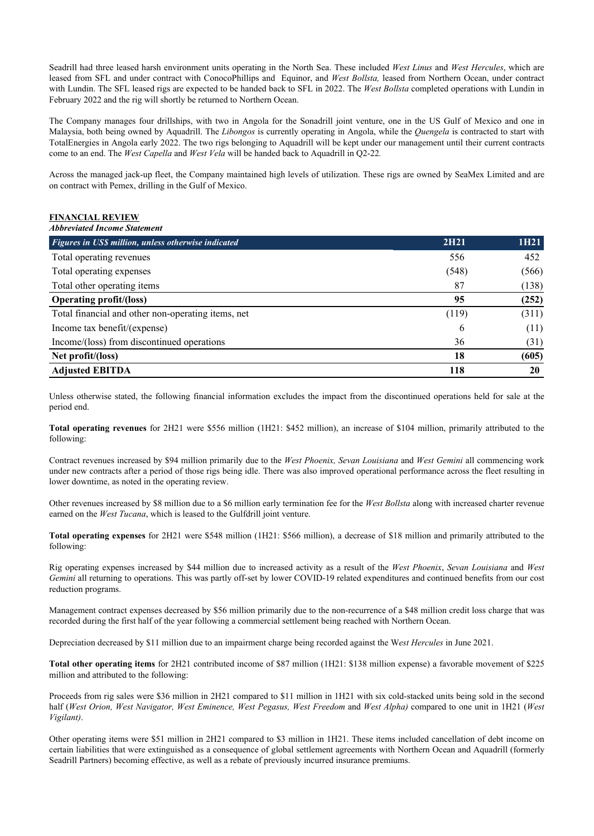Seadrill had three leased harsh environment units operating in the North Sea. These included *West Linus* and *West Hercules*, which are leased from SFL and under contract with ConocoPhillips and Equinor, and *West Bollsta,* leased from Northern Ocean, under contract with Lundin. The SFL leased rigs are expected to be handed back to SFL in 2022. The *West Bollsta* completed operations with Lundin in February 2022 and the rig will shortly be returned to Northern Ocean.

The Company manages four drillships, with two in Angola for the Sonadrill joint venture, one in the US Gulf of Mexico and one in Malaysia, both being owned by Aquadrill. The *Libongos* is currently operating in Angola, while the *Quengela* is contracted to start with TotalEnergies in Angola early 2022. The two rigs belonging to Aquadrill will be kept under our management until their current contracts come to an end. The *West Capella* and *West Vela* will be handed back to Aquadrill in Q2-22*.*

Across the managed jack-up fleet, the Company maintained high levels of utilization. These rigs are owned by SeaMex Limited and are on contract with Pemex, drilling in the Gulf of Mexico.

#### **FINANCIAL REVIEW**

#### *Abbreviated Income Statement*

| Figures in US\$ million, unless otherwise indicated | 2H <sub>21</sub> | 1H <sub>21</sub> |
|-----------------------------------------------------|------------------|------------------|
| Total operating revenues                            | 556              | 452              |
| Total operating expenses                            | (548)            | (566)            |
| Total other operating items                         | 87               | (138)            |
| <b>Operating profit/(loss)</b>                      | 95               | (252)            |
| Total financial and other non-operating items, net  | (119)            | (311)            |
| Income tax benefit/(expense)                        | 6                | (11)             |
| Income/(loss) from discontinued operations          | 36               | (31)             |
| Net profit/(loss)                                   | 18               | (605)            |
| <b>Adjusted EBITDA</b>                              | 118              | 20               |

Unless otherwise stated, the following financial information excludes the impact from the discontinued operations held for sale at the period end.

**Total operating revenues** for 2H21 were \$556 million (1H21: \$452 million), an increase of \$104 million, primarily attributed to the following:

Contract revenues increased by \$94 million primarily due to the *West Phoenix, Sevan Louisiana* and *West Gemini* all commencing work under new contracts after a period of those rigs being idle. There was also improved operational performance across the fleet resulting in lower downtime, as noted in the operating review.

Other revenues increased by \$8 million due to a \$6 million early termination fee for the *West Bollsta* along with increased charter revenue earned on the *West Tucana*, which is leased to the Gulfdrill joint venture.

**Total operating expenses** for 2H21 were \$548 million (1H21: \$566 million), a decrease of \$18 million and primarily attributed to the following:

Rig operating expenses increased by \$44 million due to increased activity as a result of the *West Phoenix*, *Sevan Louisiana* and *West Gemini* all returning to operations. This was partly off-set by lower COVID-19 related expenditures and continued benefits from our cost reduction programs.

Management contract expenses decreased by \$56 million primarily due to the non-recurrence of a \$48 million credit loss charge that was recorded during the first half of the year following a commercial settlement being reached with Northern Ocean.

Depreciation decreased by \$11 million due to an impairment charge being recorded against the W*est Hercules* in June 2021.

**Total other operating items** for 2H21 contributed income of \$87 million (1H21: \$138 million expense) a favorable movement of \$225 million and attributed to the following:

Proceeds from rig sales were \$36 million in 2H21 compared to \$11 million in 1H21 with six cold-stacked units being sold in the second half (*West Orion, West Navigator, West Eminence, West Pegasus, West Freedom* and *West Alpha)* compared to one unit in 1H21 (*West Vigilant)*.

Other operating items were \$51 million in 2H21 compared to \$3 million in 1H21. These items included cancellation of debt income on certain liabilities that were extinguished as a consequence of global settlement agreements with Northern Ocean and Aquadrill (formerly Seadrill Partners) becoming effective, as well as a rebate of previously incurred insurance premiums.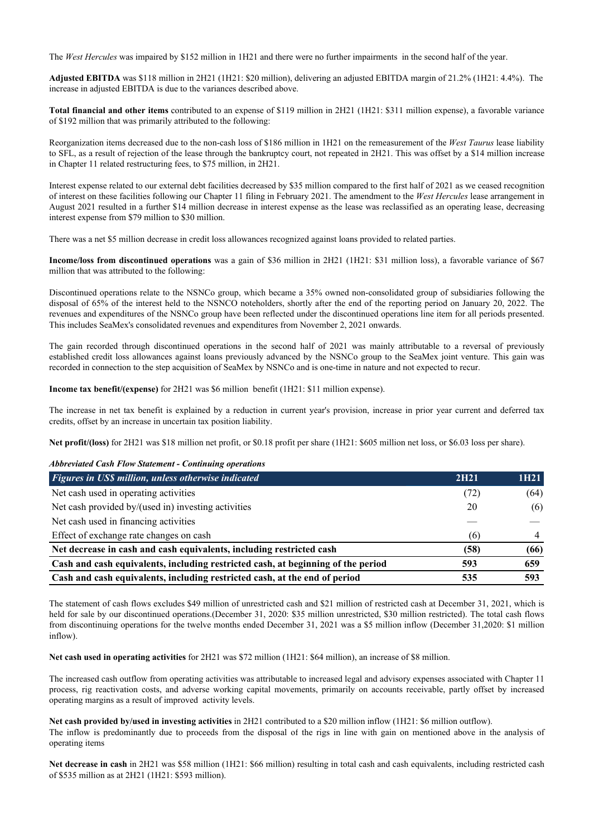The *West Hercules* was impaired by \$152 million in 1H21 and there were no further impairments in the second half of the year.

**Adjusted EBITDA** was \$118 million in 2H21 (1H21: \$20 million), delivering an adjusted EBITDA margin of 21.2% (1H21: 4.4%). The increase in adjusted EBITDA is due to the variances described above.

**Total financial and other items** contributed to an expense of \$119 million in 2H21 (1H21: \$311 million expense), a favorable variance of \$192 million that was primarily attributed to the following:

Reorganization items decreased due to the non-cash loss of \$186 million in 1H21 on the remeasurement of the *West Taurus* lease liability to SFL, as a result of rejection of the lease through the bankruptcy court, not repeated in 2H21. This was offset by a \$14 million increase in Chapter 11 related restructuring fees, to \$75 million, in 2H21.

Interest expense related to our external debt facilities decreased by \$35 million compared to the first half of 2021 as we ceased recognition of interest on these facilities following our Chapter 11 filing in February 2021. The amendment to the *West Hercules* lease arrangement in August 2021 resulted in a further \$14 million decrease in interest expense as the lease was reclassified as an operating lease, decreasing interest expense from \$79 million to \$30 million.

There was a net \$5 million decrease in credit loss allowances recognized against loans provided to related parties.

**Income/loss from discontinued operations** was a gain of \$36 million in 2H21 (1H21: \$31 million loss), a favorable variance of \$67 million that was attributed to the following:

Discontinued operations relate to the NSNCo group, which became a 35% owned non-consolidated group of subsidiaries following the disposal of 65% of the interest held to the NSNCO noteholders, shortly after the end of the reporting period on January 20, 2022. The revenues and expenditures of the NSNCo group have been reflected under the discontinued operations line item for all periods presented. This includes SeaMex's consolidated revenues and expenditures from November 2, 2021 onwards.

The gain recorded through discontinued operations in the second half of 2021 was mainly attributable to a reversal of previously established credit loss allowances against loans previously advanced by the NSNCo group to the SeaMex joint venture. This gain was recorded in connection to the step acquisition of SeaMex by NSNCo and is one-time in nature and not expected to recur.

**Income tax benefit/(expense)** for 2H21 was \$6 million benefit (1H21: \$11 million expense).

The increase in net tax benefit is explained by a reduction in current year's provision, increase in prior year current and deferred tax credits, offset by an increase in uncertain tax position liability.

**Net profit/(loss)** for 2H21 was \$18 million net profit, or \$0.18 profit per share (1H21: \$605 million net loss, or \$6.03 loss per share).

#### *Abbreviated Cash Flow Statement - Continuing operations*

| Figures in US\$ million, unless otherwise indicated                              | 2H <sub>21</sub> | 1H21 |
|----------------------------------------------------------------------------------|------------------|------|
| Net cash used in operating activities                                            | (72)             | (64) |
| Net cash provided by/(used in) investing activities                              | 20               | (6)  |
| Net cash used in financing activities                                            |                  |      |
| Effect of exchange rate changes on cash                                          | (6)              | 4    |
| Net decrease in cash and cash equivalents, including restricted cash             | (58)             | (66) |
| Cash and cash equivalents, including restricted cash, at beginning of the period | 593              | 659  |
| Cash and cash equivalents, including restricted cash, at the end of period       | 535              | 593  |

The statement of cash flows excludes \$49 million of unrestricted cash and \$21 million of restricted cash at December 31, 2021, which is held for sale by our discontinued operations.(December 31, 2020: \$35 million unrestricted, \$30 million restricted). The total cash flows from discontinuing operations for the twelve months ended December 31, 2021 was a \$5 million inflow (December 31,2020: \$1 million inflow).

**Net cash used in operating activities** for 2H21 was \$72 million (1H21: \$64 million), an increase of \$8 million.

The increased cash outflow from operating activities was attributable to increased legal and advisory expenses associated with Chapter 11 process, rig reactivation costs, and adverse working capital movements, primarily on accounts receivable, partly offset by increased operating margins as a result of improved activity levels.

**Net cash provided by/used in investing activities** in 2H21 contributed to a \$20 million inflow (1H21: \$6 million outflow).

The inflow is predominantly due to proceeds from the disposal of the rigs in line with gain on mentioned above in the analysis of operating items

**Net decrease in cash** in 2H21 was \$58 million (1H21: \$66 million) resulting in total cash and cash equivalents, including restricted cash of \$535 million as at 2H21 (1H21: \$593 million).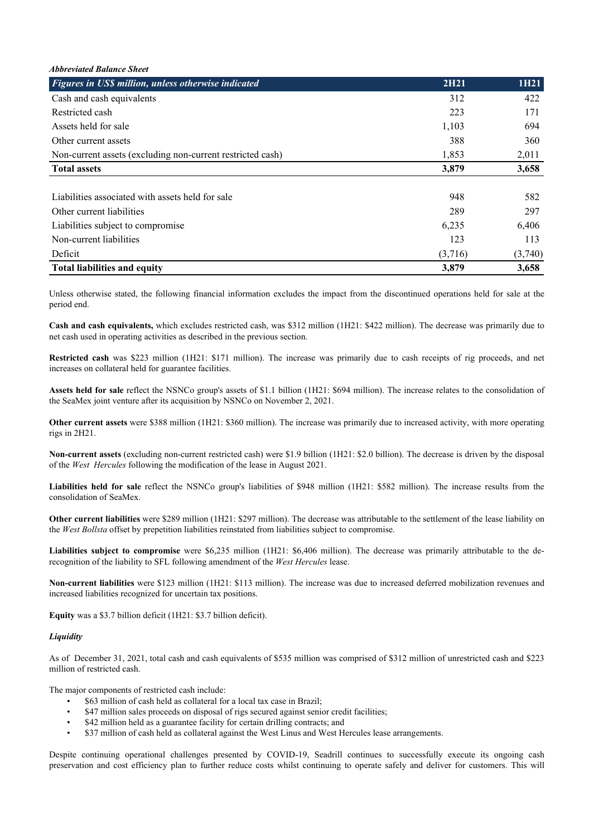*Abbreviated Balance Sheet*

| Figures in US\$ million, unless otherwise indicated        | 2H21    | 1H21    |
|------------------------------------------------------------|---------|---------|
| Cash and cash equivalents                                  | 312     | 422     |
| Restricted cash                                            | 223     | 171     |
| Assets held for sale                                       | 1,103   | 694     |
| Other current assets                                       | 388     | 360     |
| Non-current assets (excluding non-current restricted cash) | 1,853   | 2,011   |
| <b>Total assets</b>                                        | 3,879   | 3,658   |
|                                                            |         |         |
| Liabilities associated with assets held for sale           | 948     | 582     |
| Other current liabilities                                  | 289     | 297     |
| Liabilities subject to compromise                          | 6,235   | 6,406   |
| Non-current liabilities                                    | 123     | 113     |
| Deficit                                                    | (3,716) | (3,740) |
| <b>Total liabilities and equity</b>                        | 3,879   | 3,658   |

Unless otherwise stated, the following financial information excludes the impact from the discontinued operations held for sale at the period end.

**Cash and cash equivalents,** which excludes restricted cash, was \$312 million (1H21: \$422 million). The decrease was primarily due to net cash used in operating activities as described in the previous section.

**Restricted cash** was \$223 million (1H21: \$171 million). The increase was primarily due to cash receipts of rig proceeds, and net increases on collateral held for guarantee facilities.

**Assets held for sale** reflect the NSNCo group's assets of \$1.1 billion (1H21: \$694 million). The increase relates to the consolidation of the SeaMex joint venture after its acquisition by NSNCo on November 2, 2021.

**Other current assets** were \$388 million (1H21: \$360 million). The increase was primarily due to increased activity, with more operating rigs in 2H21.

**Non-current assets** (excluding non-current restricted cash) were \$1.9 billion (1H21: \$2.0 billion). The decrease is driven by the disposal of the *West Hercules* following the modification of the lease in August 2021.

**Liabilities held for sale** reflect the NSNCo group's liabilities of \$948 million (1H21: \$582 million). The increase results from the consolidation of SeaMex.

**Other current liabilities** were \$289 million (1H21: \$297 million). The decrease was attributable to the settlement of the lease liability on the *West Bollsta* offset by prepetition liabilities reinstated from liabilities subject to compromise.

**Liabilities subject to compromise** were \$6,235 million (1H21: \$6,406 million). The decrease was primarily attributable to the derecognition of the liability to SFL following amendment of the *West Hercules* lease.

**Non-current liabilities** were \$123 million (1H21: \$113 million). The increase was due to increased deferred mobilization revenues and increased liabilities recognized for uncertain tax positions.

**Equity** was a \$3.7 billion deficit (1H21: \$3.7 billion deficit).

#### *Liquidity*

As of December 31, 2021, total cash and cash equivalents of \$535 million was comprised of \$312 million of unrestricted cash and \$223 million of restricted cash.

The major components of restricted cash include:

- \$63 million of cash held as collateral for a local tax case in Brazil;
- \$47 million sales proceeds on disposal of rigs secured against senior credit facilities;
- \$42 million held as a guarantee facility for certain drilling contracts; and
- \$37 million of cash held as collateral against the West Linus and West Hercules lease arrangements.

Despite continuing operational challenges presented by COVID-19, Seadrill continues to successfully execute its ongoing cash preservation and cost efficiency plan to further reduce costs whilst continuing to operate safely and deliver for customers. This will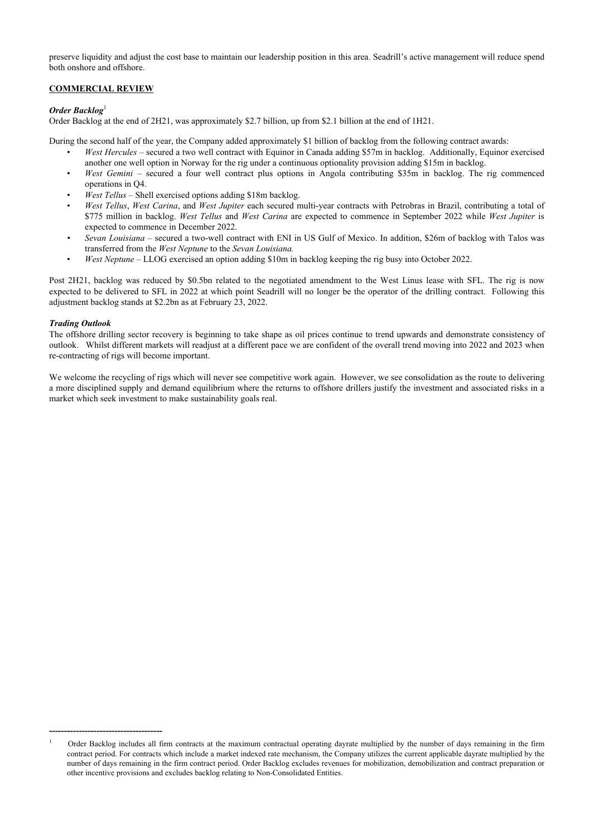preserve liquidity and adjust the cost base to maintain our leadership position in this area. Seadrill's active management will reduce spend both onshore and offshore.

### **COMMERCIAL REVIEW**

#### **Order Backlog**<sup>1</sup>

Order Backlog at the end of 2H21, was approximately \$2.7 billion, up from \$2.1 billion at the end of 1H21.

During the second half of the year, the Company added approximately \$1 billion of backlog from the following contract awards:

- *West Hercules* secured a two well contract with Equinor in Canada adding \$57m in backlog. Additionally, Equinor exercised another one well option in Norway for the rig under a continuous optionality provision adding \$15m in backlog.
- *West Gemini* secured a four well contract plus options in Angola contributing \$35m in backlog. The rig commenced operations in Q4.
- *West Tellus* Shell exercised options adding \$18m backlog.
- *West Tellus*, *West Carina*, and *West Jupiter* each secured multi-year contracts with Petrobras in Brazil, contributing a total of \$775 million in backlog. *West Tellus* and *West Carina* are expected to commence in September 2022 while *West Jupiter* is expected to commence in December 2022.
- *• Sevan Louisiana* secured a two-well contract with ENI in US Gulf of Mexico. In addition, \$26m of backlog with Talos was transferred from the *West Neptune* to the *Sevan Louisiana.*
- *West Neptune* LLOG exercised an option adding \$10m in backlog keeping the rig busy into October 2022.

Post 2H21, backlog was reduced by \$0.5bn related to the negotiated amendment to the West Linus lease with SFL. The rig is now expected to be delivered to SFL in 2022 at which point Seadrill will no longer be the operator of the drilling contract. Following this adjustment backlog stands at \$2.2bn as at February 23, 2022.

### *Trading Outlook*

**--------------------------------------**

The offshore drilling sector recovery is beginning to take shape as oil prices continue to trend upwards and demonstrate consistency of outlook. Whilst different markets will readjust at a different pace we are confident of the overall trend moving into 2022 and 2023 when re-contracting of rigs will become important.

We welcome the recycling of rigs which will never see competitive work again. However, we see consolidation as the route to delivering a more disciplined supply and demand equilibrium where the returns to offshore drillers justify the investment and associated risks in a market which seek investment to make sustainability goals real.

<sup>1</sup> Order Backlog includes all firm contracts at the maximum contractual operating dayrate multiplied by the number of days remaining in the firm contract period. For contracts which include a market indexed rate mechanism, the Company utilizes the current applicable dayrate multiplied by the number of days remaining in the firm contract period. Order Backlog excludes revenues for mobilization, demobilization and contract preparation or other incentive provisions and excludes backlog relating to Non-Consolidated Entities.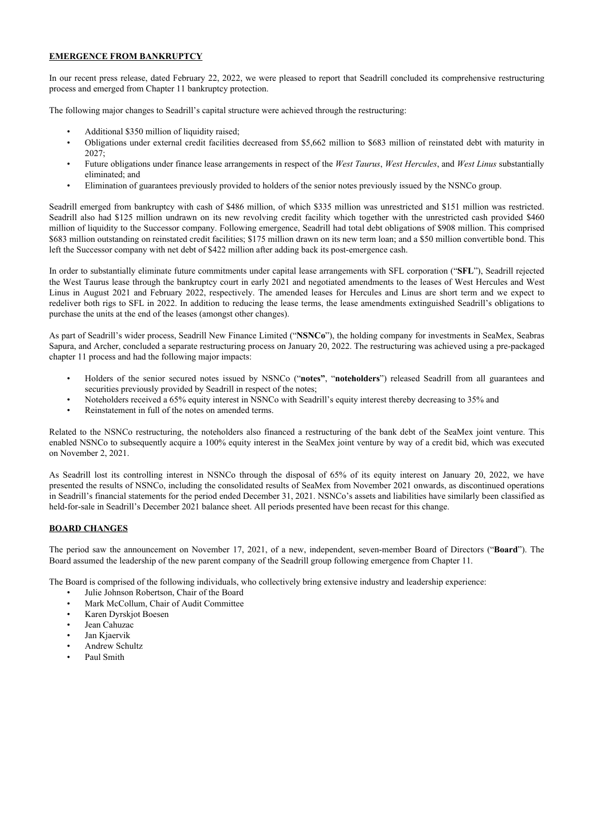### **EMERGENCE FROM BANKRUPTCY**

In our recent press release, dated February 22, 2022, we were pleased to report that Seadrill concluded its comprehensive restructuring process and emerged from Chapter 11 bankruptcy protection.

The following major changes to Seadrill's capital structure were achieved through the restructuring:

- Additional \$350 million of liquidity raised;
- Obligations under external credit facilities decreased from \$5,662 million to \$683 million of reinstated debt with maturity in  $2027$
- Future obligations under finance lease arrangements in respect of the *West Taurus*, *West Hercules*, and *West Linus* substantially eliminated; and
- Elimination of guarantees previously provided to holders of the senior notes previously issued by the NSNCo group.

Seadrill emerged from bankruptcy with cash of \$486 million, of which \$335 million was unrestricted and \$151 million was restricted. Seadrill also had \$125 million undrawn on its new revolving credit facility which together with the unrestricted cash provided \$460 million of liquidity to the Successor company. Following emergence, Seadrill had total debt obligations of \$908 million. This comprised \$683 million outstanding on reinstated credit facilities; \$175 million drawn on its new term loan; and a \$50 million convertible bond. This left the Successor company with net debt of \$422 million after adding back its post-emergence cash.

In order to substantially eliminate future commitments under capital lease arrangements with SFL corporation ("**SFL**"), Seadrill rejected the West Taurus lease through the bankruptcy court in early 2021 and negotiated amendments to the leases of West Hercules and West Linus in August 2021 and February 2022, respectively. The amended leases for Hercules and Linus are short term and we expect to redeliver both rigs to SFL in 2022. In addition to reducing the lease terms, the lease amendments extinguished Seadrill's obligations to purchase the units at the end of the leases (amongst other changes).

As part of Seadrill's wider process, Seadrill New Finance Limited ("**NSNCo**"), the holding company for investments in SeaMex, Seabras Sapura, and Archer, concluded a separate restructuring process on January 20, 2022. The restructuring was achieved using a pre-packaged chapter 11 process and had the following major impacts:

- Holders of the senior secured notes issued by NSNCo ("**notes"**, "**noteholders**") released Seadrill from all guarantees and securities previously provided by Seadrill in respect of the notes;
- Noteholders received a 65% equity interest in NSNCo with Seadrill's equity interest thereby decreasing to 35% and
- Reinstatement in full of the notes on amended terms.

Related to the NSNCo restructuring, the noteholders also financed a restructuring of the bank debt of the SeaMex joint venture. This enabled NSNCo to subsequently acquire a 100% equity interest in the SeaMex joint venture by way of a credit bid, which was executed on November 2, 2021.

As Seadrill lost its controlling interest in NSNCo through the disposal of 65% of its equity interest on January 20, 2022, we have presented the results of NSNCo, including the consolidated results of SeaMex from November 2021 onwards, as discontinued operations in Seadrill's financial statements for the period ended December 31, 2021. NSNCo's assets and liabilities have similarly been classified as held-for-sale in Seadrill's December 2021 balance sheet. All periods presented have been recast for this change.

#### **BOARD CHANGES**

The period saw the announcement on November 17, 2021, of a new, independent, seven-member Board of Directors ("**Board**"). The Board assumed the leadership of the new parent company of the Seadrill group following emergence from Chapter 11.

The Board is comprised of the following individuals, who collectively bring extensive industry and leadership experience:

- Julie Johnson Robertson, Chair of the Board
- Mark McCollum, Chair of Audit Committee
- Karen Dyrskjot Boesen
- Jean Cahuzac
- Jan Kjaervik
- Andrew Schultz
- Paul Smith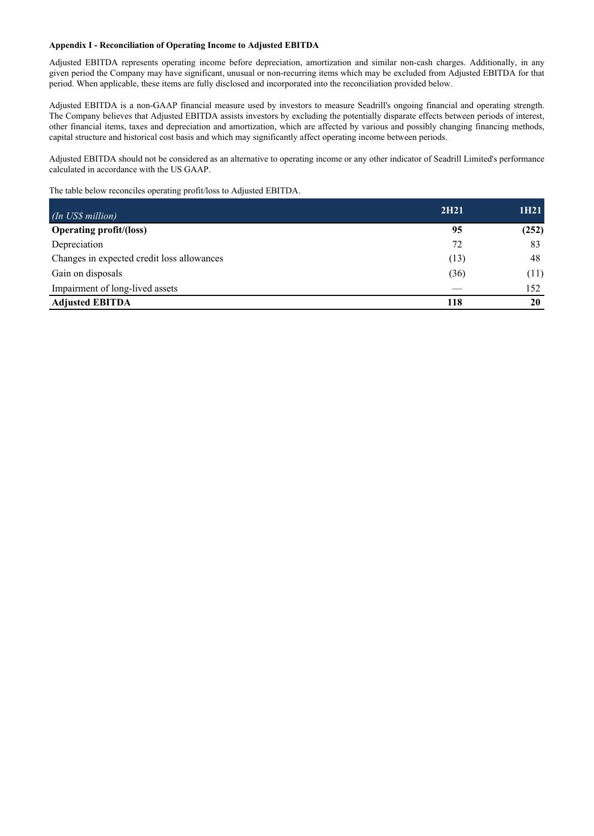### **Appendix I - Reconciliation of Operating Income to Adjusted EBITDA**

Adjusted EBITDA represents operating income before depreciation, amortization and similar non-cash charges. Additionally, in any given period the Company may have significant, unusual or non-recurring items which may be excluded from Adjusted EBITDA for that period. When applicable, these items are fully disclosed and incorporated into the reconciliation provided below.

Adjusted EBITDA is a non-GAAP financial measure used by investors to measure Seadrill's ongoing financial and operating strength. The Company believes that Adjusted EBITDA assists investors by excluding the potentially disparate effects between periods of interest, other financial items, taxes and depreciation and amortization, which are affected by various and possibly changing financing methods, capital structure and historical cost basis and which may significantly affect operating income between periods.

Adjusted EBITDA should not be considered as an alternative to operating income or any other indicator of Seadrill Limited's performance calculated in accordance with the US GAAP.

The table below reconciles operating profit/loss to Adjusted EBITDA.

| (In US\$ million)                          | 2H <sub>21</sub> | 1H <sub>21</sub> |
|--------------------------------------------|------------------|------------------|
| <b>Operating profit/(loss)</b>             | 95               | (252)            |
| Depreciation                               | 72               | 83               |
| Changes in expected credit loss allowances | (13)             | 48               |
| Gain on disposals                          | (36)             | (11)             |
| Impairment of long-lived assets            |                  | 152              |
| <b>Adjusted EBITDA</b>                     | 118              | 20               |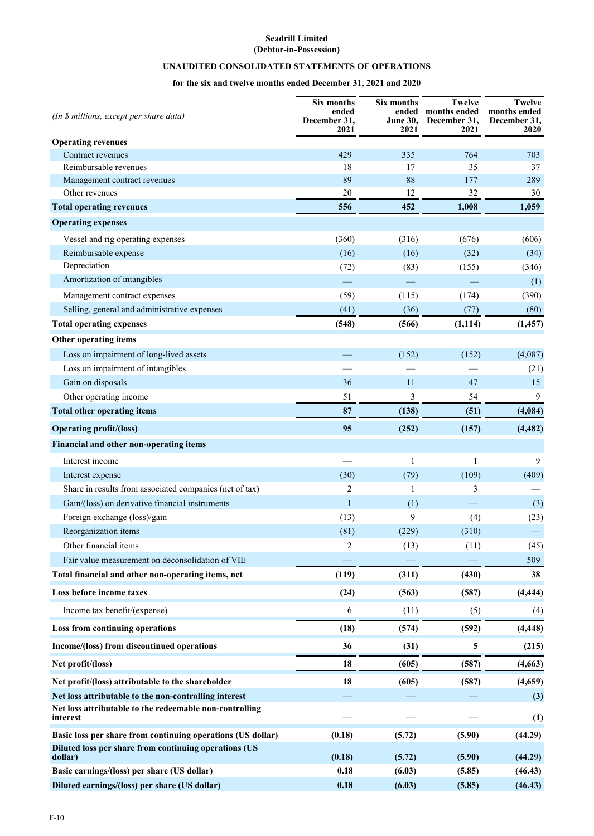# **UNAUDITED CONSOLIDATED STATEMENTS OF OPERATIONS**

## **for the six and twelve months ended December 31, 2021 and 2020**

| (In \$ millions, except per share data)                             | Six months<br>ended<br>December 31,<br>2021 | <b>Six months</b><br>ended<br><b>June 30,</b><br>2021 | <b>Twelve</b><br>months ended<br>December 31,<br>2021 | <b>Twelve</b><br>months ended<br>December 31,<br>2020 |
|---------------------------------------------------------------------|---------------------------------------------|-------------------------------------------------------|-------------------------------------------------------|-------------------------------------------------------|
| <b>Operating revenues</b>                                           |                                             |                                                       |                                                       |                                                       |
| Contract revenues                                                   | 429                                         | 335                                                   | 764                                                   | 703                                                   |
| Reimbursable revenues                                               | 18                                          | 17                                                    | 35                                                    | 37                                                    |
| Management contract revenues                                        | 89                                          | 88                                                    | 177                                                   | 289                                                   |
| Other revenues                                                      | 20                                          | 12                                                    | 32                                                    | 30                                                    |
| <b>Total operating revenues</b>                                     | 556                                         | 452                                                   | 1,008                                                 | 1,059                                                 |
| <b>Operating expenses</b>                                           |                                             |                                                       |                                                       |                                                       |
| Vessel and rig operating expenses                                   | (360)                                       | (316)                                                 | (676)                                                 | (606)                                                 |
| Reimbursable expense                                                | (16)                                        | (16)                                                  | (32)                                                  | (34)                                                  |
| Depreciation                                                        | (72)                                        | (83)                                                  | (155)                                                 | (346)                                                 |
| Amortization of intangibles                                         |                                             |                                                       |                                                       | (1)                                                   |
| Management contract expenses                                        | (59)                                        | (115)                                                 | (174)                                                 | (390)                                                 |
| Selling, general and administrative expenses                        | (41)                                        | (36)                                                  | (77)                                                  | (80)                                                  |
| <b>Total operating expenses</b>                                     | (548)                                       | (566)                                                 | (1, 114)                                              | (1, 457)                                              |
| Other operating items                                               |                                             |                                                       |                                                       |                                                       |
| Loss on impairment of long-lived assets                             |                                             | (152)                                                 | (152)                                                 | (4,087)                                               |
| Loss on impairment of intangibles                                   |                                             |                                                       |                                                       | (21)                                                  |
| Gain on disposals                                                   | 36                                          | 11                                                    | 47                                                    | 15                                                    |
| Other operating income                                              | 51                                          | 3                                                     | 54                                                    | 9                                                     |
| <b>Total other operating items</b>                                  | 87                                          | (138)                                                 | (51)                                                  | (4,084)                                               |
| <b>Operating profit/(loss)</b>                                      | 95                                          | (252)                                                 | (157)                                                 | (4, 482)                                              |
| Financial and other non-operating items                             |                                             |                                                       |                                                       |                                                       |
| Interest income                                                     |                                             | 1                                                     | 1                                                     | 9                                                     |
| Interest expense                                                    | (30)                                        | (79)                                                  | (109)                                                 | (409)                                                 |
| Share in results from associated companies (net of tax)             | $\overline{c}$                              | 1                                                     | 3                                                     |                                                       |
| Gain/(loss) on derivative financial instruments                     | 1                                           | (1)                                                   |                                                       | (3)                                                   |
| Foreign exchange (loss)/gain                                        | (13)                                        | 9                                                     | (4)                                                   | (23)                                                  |
| Reorganization items                                                | (81)                                        | (229)                                                 | (310)                                                 |                                                       |
| Other financial items                                               | $\boldsymbol{2}$                            | (13)                                                  | (11)                                                  | (45)                                                  |
| Fair value measurement on deconsolidation of VIE                    |                                             |                                                       |                                                       | 509                                                   |
| Total financial and other non-operating items, net                  | (119)                                       | (311)                                                 | (430)                                                 | 38                                                    |
| Loss before income taxes                                            | (24)                                        | (563)                                                 | (587)                                                 | (4, 444)                                              |
| Income tax benefit/(expense)                                        | 6                                           | (11)                                                  | (5)                                                   | (4)                                                   |
| Loss from continuing operations                                     | (18)                                        | (574)                                                 | (592)                                                 | (4, 448)                                              |
| Income/(loss) from discontinued operations                          | 36                                          | (31)                                                  | 5                                                     | (215)                                                 |
| Net profit/(loss)                                                   | 18                                          | (605)                                                 | (587)                                                 | (4,663)                                               |
| Net profit/(loss) attributable to the shareholder                   | 18                                          | (605)                                                 | (587)                                                 | (4,659)                                               |
| Net loss attributable to the non-controlling interest               |                                             |                                                       |                                                       | (3)                                                   |
| Net loss attributable to the redeemable non-controlling<br>interest |                                             |                                                       |                                                       | (1)                                                   |
| Basic loss per share from continuing operations (US dollar)         | (0.18)                                      | (5.72)                                                | (5.90)                                                | (44.29)                                               |
| Diluted loss per share from continuing operations (US<br>dollar)    | (0.18)                                      | (5.72)                                                | (5.90)                                                | (44.29)                                               |
| Basic earnings/(loss) per share (US dollar)                         | 0.18                                        | (6.03)                                                | (5.85)                                                | (46.43)                                               |
| Diluted earnings/(loss) per share (US dollar)                       | 0.18                                        | (6.03)                                                | (5.85)                                                | (46.43)                                               |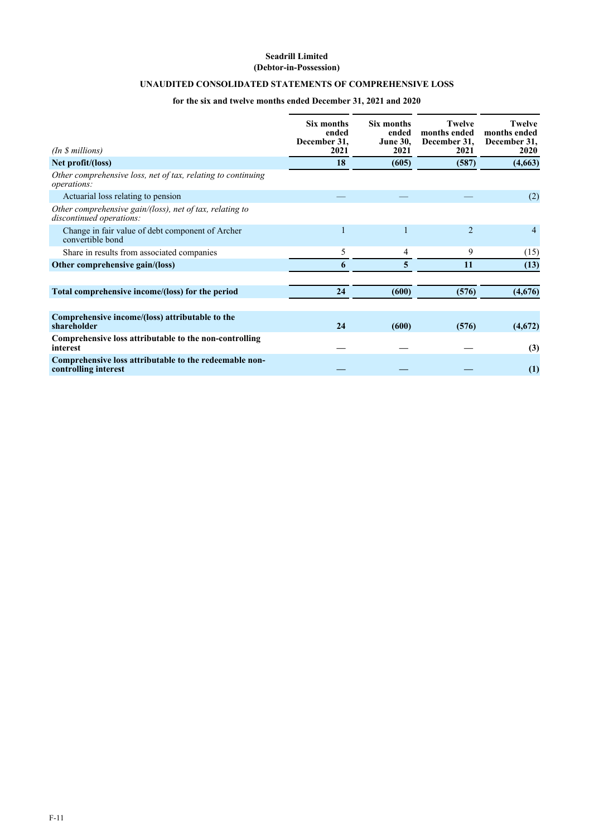# **UNAUDITED CONSOLIDATED STATEMENTS OF COMPREHENSIVE LOSS**

# **for the six and twelve months ended December 31, 2021 and 2020**

| (In \$ millions)                                                                     | Six months<br>ended<br>December 31,<br>2021 | Six months<br>ended<br><b>June 30,</b><br>2021 | <b>Twelve</b><br>months ended<br>December 31,<br>2021 | <b>Twelve</b><br>months ended<br>December 31,<br><b>2020</b> |
|--------------------------------------------------------------------------------------|---------------------------------------------|------------------------------------------------|-------------------------------------------------------|--------------------------------------------------------------|
| Net profit/(loss)                                                                    | 18                                          | (605)                                          | (587)                                                 | (4,663)                                                      |
| Other comprehensive loss, net of tax, relating to continuing<br><i>operations:</i>   |                                             |                                                |                                                       |                                                              |
| Actuarial loss relating to pension                                                   |                                             |                                                |                                                       | (2)                                                          |
| Other comprehensive gain/(loss), net of tax, relating to<br>discontinued operations: |                                             |                                                |                                                       |                                                              |
| Change in fair value of debt component of Archer<br>convertible bond                 |                                             |                                                | $\overline{2}$                                        | 4                                                            |
| Share in results from associated companies                                           | 5                                           | 4                                              | 9                                                     | (15)                                                         |
| Other comprehensive gain/(loss)                                                      | 6                                           | 5                                              | 11                                                    | (13)                                                         |
|                                                                                      |                                             |                                                |                                                       |                                                              |
| Total comprehensive income/(loss) for the period                                     | 24                                          | (600)                                          | (576)                                                 | (4,676)                                                      |
|                                                                                      |                                             |                                                |                                                       |                                                              |
| Comprehensive income/(loss) attributable to the<br>shareholder                       | 24                                          | (600)                                          | (576)                                                 | (4,672)                                                      |
| Comprehensive loss attributable to the non-controlling<br>interest                   |                                             |                                                |                                                       | (3)                                                          |
| Comprehensive loss attributable to the redeemable non-<br>controlling interest       |                                             |                                                |                                                       | (1)                                                          |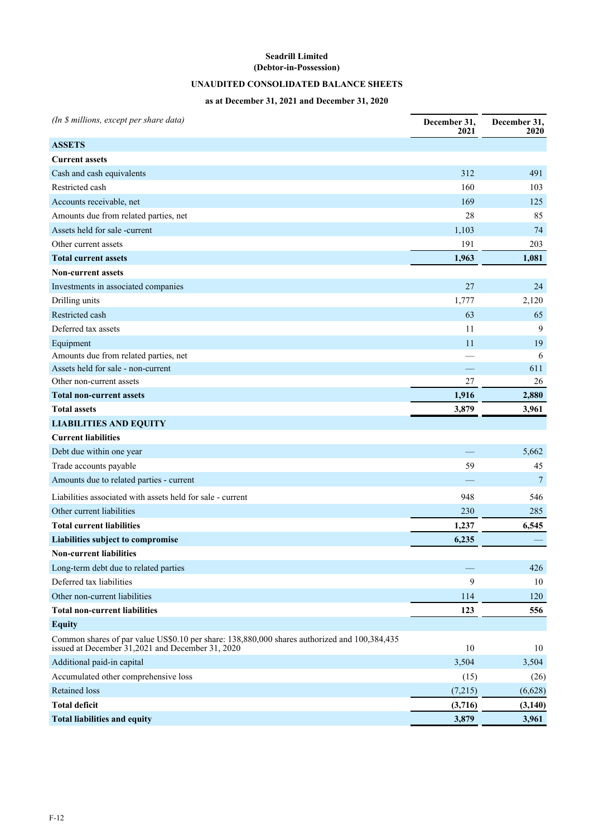## **UNAUDITED CONSOLIDATED BALANCE SHEETS**

### **as at December 31, 2021 and December 31, 2020**

| (In \$ millions, except per share data)                                                                                                           | December 31,<br>2021 | December 31,<br>2020 |
|---------------------------------------------------------------------------------------------------------------------------------------------------|----------------------|----------------------|
| <b>ASSETS</b>                                                                                                                                     |                      |                      |
| <b>Current assets</b>                                                                                                                             |                      |                      |
| Cash and cash equivalents                                                                                                                         | 312                  | 491                  |
| Restricted cash                                                                                                                                   | 160                  | 103                  |
| Accounts receivable, net                                                                                                                          | 169                  | 125                  |
| Amounts due from related parties, net                                                                                                             | 28                   | 85                   |
| Assets held for sale -current                                                                                                                     | 1,103                | 74                   |
| Other current assets                                                                                                                              | 191                  | 203                  |
| <b>Total current assets</b>                                                                                                                       | 1,963                | 1,081                |
| <b>Non-current assets</b>                                                                                                                         |                      |                      |
| Investments in associated companies                                                                                                               | 27                   | 24                   |
| Drilling units                                                                                                                                    | 1,777                | 2,120                |
| Restricted cash                                                                                                                                   | 63                   | 65                   |
| Deferred tax assets                                                                                                                               | 11                   | 9                    |
| Equipment                                                                                                                                         | 11                   | 19                   |
| Amounts due from related parties, net                                                                                                             |                      | 6                    |
| Assets held for sale - non-current                                                                                                                |                      | 611                  |
| Other non-current assets                                                                                                                          | 27                   | 26                   |
| <b>Total non-current assets</b>                                                                                                                   | 1,916                | 2,880                |
| <b>Total assets</b>                                                                                                                               | 3,879                | 3,961                |
| <b>LIABILITIES AND EQUITY</b>                                                                                                                     |                      |                      |
| <b>Current liabilities</b>                                                                                                                        |                      |                      |
| Debt due within one year                                                                                                                          |                      | 5,662                |
| Trade accounts payable                                                                                                                            | 59                   | 45                   |
| Amounts due to related parties - current                                                                                                          |                      | $\tau$               |
| Liabilities associated with assets held for sale - current                                                                                        | 948                  | 546                  |
| Other current liabilities                                                                                                                         | 230                  | 285                  |
| <b>Total current liabilities</b>                                                                                                                  | 1,237                | 6,545                |
| Liabilities subject to compromise                                                                                                                 | 6,235                |                      |
| <b>Non-current liabilities</b>                                                                                                                    |                      |                      |
| Long-term debt due to related parties                                                                                                             |                      | 426                  |
| Deferred tax liabilities                                                                                                                          | 9                    | 10                   |
| Other non-current liabilities                                                                                                                     | 114                  | 120                  |
| <b>Total non-current liabilities</b>                                                                                                              | 123                  | 556                  |
| <b>Equity</b>                                                                                                                                     |                      |                      |
| Common shares of par value US\$0.10 per share: 138,880,000 shares authorized and 100,384,435<br>issued at December 31, 2021 and December 31, 2020 | 10                   | 10                   |
| Additional paid-in capital                                                                                                                        | 3,504                | 3,504                |
| Accumulated other comprehensive loss                                                                                                              | (15)                 | (26)                 |
| Retained loss                                                                                                                                     | (7,215)              | (6,628)              |
| <b>Total deficit</b>                                                                                                                              | (3,716)              | (3, 140)             |
| <b>Total liabilities and equity</b>                                                                                                               | 3,879                | 3,961                |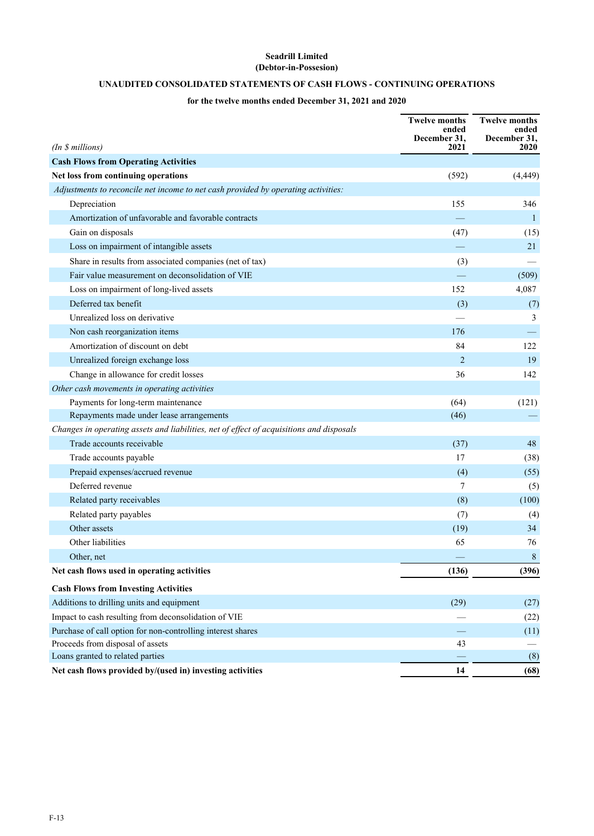# **UNAUDITED CONSOLIDATED STATEMENTS OF CASH FLOWS - CONTINUING OPERATIONS**

## **for the twelve months ended December 31, 2021 and 2020**

|                                                                                          | <b>Twelve months</b><br>ended<br>December 31, | <b>Twelve months</b><br>ended<br>December 31, |
|------------------------------------------------------------------------------------------|-----------------------------------------------|-----------------------------------------------|
| (In \$millions)                                                                          | 2021                                          | 2020                                          |
| <b>Cash Flows from Operating Activities</b>                                              |                                               |                                               |
| Net loss from continuing operations                                                      | (592)                                         | (4, 449)                                      |
| Adjustments to reconcile net income to net cash provided by operating activities:        |                                               |                                               |
| Depreciation                                                                             | 155                                           | 346                                           |
| Amortization of unfavorable and favorable contracts                                      |                                               | -1                                            |
| Gain on disposals                                                                        | (47)                                          | (15)                                          |
| Loss on impairment of intangible assets                                                  |                                               | 21                                            |
| Share in results from associated companies (net of tax)                                  | (3)                                           |                                               |
| Fair value measurement on deconsolidation of VIE                                         |                                               | (509)                                         |
| Loss on impairment of long-lived assets                                                  | 152                                           | 4,087                                         |
| Deferred tax benefit                                                                     | (3)                                           | (7)                                           |
| Unrealized loss on derivative                                                            |                                               | 3                                             |
| Non cash reorganization items                                                            | 176                                           |                                               |
| Amortization of discount on debt                                                         | 84                                            | 122                                           |
| Unrealized foreign exchange loss                                                         | $\overline{2}$                                | 19                                            |
| Change in allowance for credit losses                                                    | 36                                            | 142                                           |
| Other cash movements in operating activities                                             |                                               |                                               |
| Payments for long-term maintenance                                                       | (64)                                          | (121)                                         |
| Repayments made under lease arrangements                                                 | (46)                                          |                                               |
| Changes in operating assets and liabilities, net of effect of acquisitions and disposals |                                               |                                               |
| Trade accounts receivable                                                                | (37)                                          | 48                                            |
| Trade accounts payable                                                                   | 17                                            | (38)                                          |
| Prepaid expenses/accrued revenue                                                         | (4)                                           | (55)                                          |
| Deferred revenue                                                                         | 7                                             | (5)                                           |
| Related party receivables                                                                | (8)                                           | (100)                                         |
| Related party payables                                                                   | (7)                                           | (4)                                           |
| Other assets                                                                             | (19)                                          | 34                                            |
| Other liabilities                                                                        | 65                                            | 76                                            |
| Other, net                                                                               |                                               | 8                                             |
| Net cash flows used in operating activities                                              | (136)                                         | (396)                                         |
| <b>Cash Flows from Investing Activities</b>                                              |                                               |                                               |
| Additions to drilling units and equipment                                                | (29)                                          | (27)                                          |
| Impact to cash resulting from deconsolidation of VIE                                     |                                               | (22)                                          |
| Purchase of call option for non-controlling interest shares                              |                                               | (11)                                          |
| Proceeds from disposal of assets                                                         | 43                                            |                                               |
| Loans granted to related parties                                                         |                                               | (8)                                           |
| Net cash flows provided by/(used in) investing activities                                | 14                                            | (68)                                          |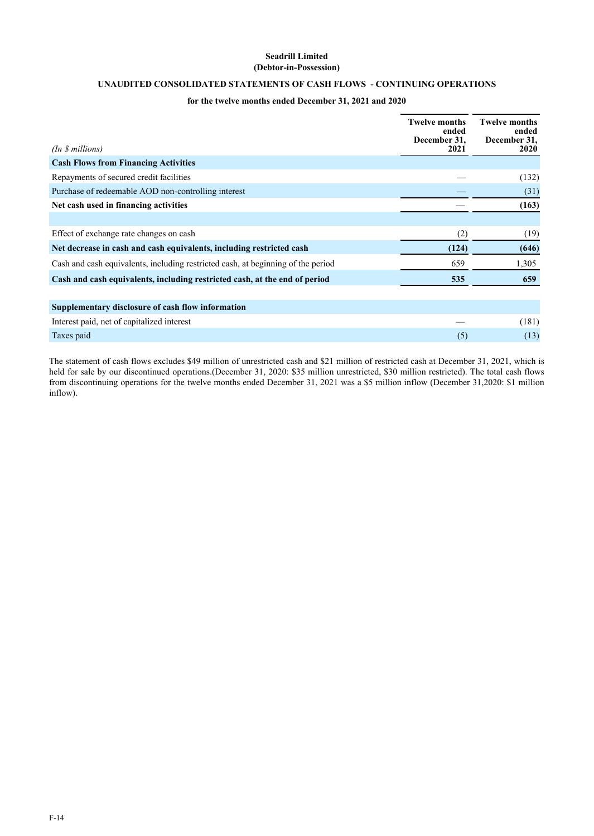### **UNAUDITED CONSOLIDATED STATEMENTS OF CASH FLOWS - CONTINUING OPERATIONS**

#### **for the twelve months ended December 31, 2021 and 2020**

| (In \$millions)                                                                  | <b>Twelve months</b><br>ended<br>December 31,<br>2021 | <b>Twelve months</b><br>ended<br>December 31,<br><b>2020</b> |
|----------------------------------------------------------------------------------|-------------------------------------------------------|--------------------------------------------------------------|
| <b>Cash Flows from Financing Activities</b>                                      |                                                       |                                                              |
| Repayments of secured credit facilities                                          |                                                       | (132)                                                        |
| Purchase of redeemable AOD non-controlling interest                              |                                                       | (31)                                                         |
| Net cash used in financing activities                                            |                                                       | (163)                                                        |
|                                                                                  |                                                       |                                                              |
| Effect of exchange rate changes on cash                                          | (2)                                                   | (19)                                                         |
| Net decrease in cash and cash equivalents, including restricted cash             | (124)                                                 | (646)                                                        |
| Cash and cash equivalents, including restricted cash, at beginning of the period | 659                                                   | 1,305                                                        |
| Cash and cash equivalents, including restricted cash, at the end of period       | 535                                                   | 659                                                          |
|                                                                                  |                                                       |                                                              |
| Supplementary disclosure of cash flow information                                |                                                       |                                                              |
| Interest paid, net of capitalized interest                                       |                                                       | (181)                                                        |
| Taxes paid                                                                       | (5)                                                   | (13)                                                         |

The statement of cash flows excludes \$49 million of unrestricted cash and \$21 million of restricted cash at December 31, 2021, which is held for sale by our discontinued operations.(December 31, 2020: \$35 million unrestricted, \$30 million restricted). The total cash flows from discontinuing operations for the twelve months ended December 31, 2021 was a \$5 million inflow (December 31,2020: \$1 million inflow).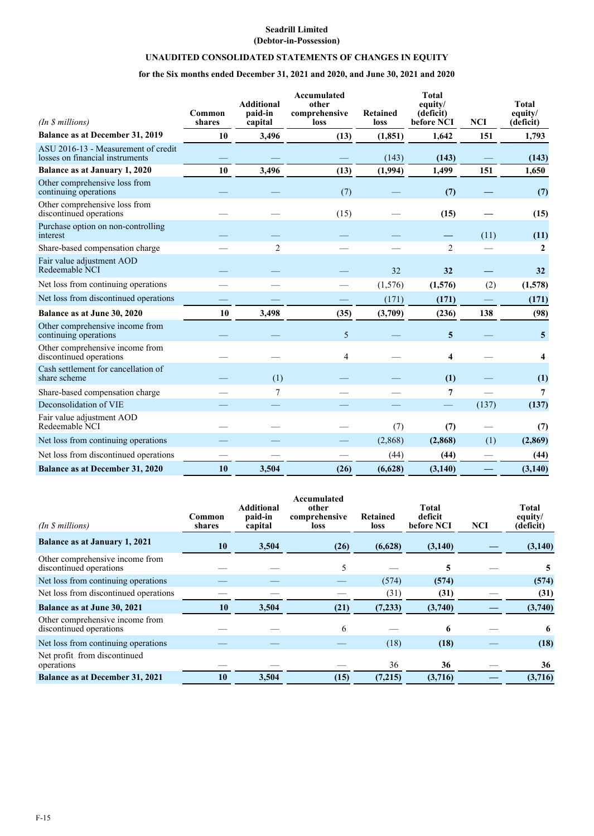## **UNAUDITED CONSOLIDATED STATEMENTS OF CHANGES IN EQUITY**

## **for the Six months ended December 31, 2021 and 2020, and June 30, 2021 and 2020**

| (In \$millions)                                                        | Common<br>shares | <b>Additional</b><br>paid-in<br>capital | Accumulated<br>other<br>comprehensive<br>loss | <b>Retained</b><br>loss | <b>Total</b><br>equity/<br>(deficit)<br>before NCI | <b>NCI</b> | <b>Total</b><br>equity/<br>(deficit) |
|------------------------------------------------------------------------|------------------|-----------------------------------------|-----------------------------------------------|-------------------------|----------------------------------------------------|------------|--------------------------------------|
| Balance as at December 31, 2019                                        | 10               | 3,496                                   | (13)                                          | (1, 851)                | 1,642                                              | 151        | 1,793                                |
| ASU 2016-13 - Measurement of credit<br>losses on financial instruments |                  |                                         |                                               | (143)                   | (143)                                              |            | (143)                                |
| Balance as at January 1, 2020                                          | 10               | 3,496                                   | (13)                                          | (1,994)                 | 1,499                                              | 151        | 1,650                                |
| Other comprehensive loss from<br>continuing operations                 |                  |                                         | (7)                                           |                         | (7)                                                |            | (7)                                  |
| Other comprehensive loss from<br>discontinued operations               |                  |                                         | (15)                                          |                         | (15)                                               |            | (15)                                 |
| Purchase option on non-controlling<br>interest                         |                  |                                         |                                               |                         |                                                    | (11)       | (11)                                 |
| Share-based compensation charge                                        |                  | $\overline{2}$                          |                                               |                         | $\overline{2}$                                     |            | $\mathbf{2}$                         |
| Fair value adjustment AOD<br>Redeemable NCI                            |                  |                                         |                                               | 32                      | 32                                                 |            | 32                                   |
| Net loss from continuing operations                                    |                  |                                         |                                               | (1, 576)                | (1,576)                                            | (2)        | (1,578)                              |
| Net loss from discontinued operations                                  |                  |                                         |                                               | (171)                   | (171)                                              |            | (171)                                |
| Balance as at June 30, 2020                                            | 10               | 3,498                                   | (35)                                          | (3,709)                 | (236)                                              | 138        | (98)                                 |
| Other comprehensive income from<br>continuing operations               |                  |                                         | 5                                             |                         | 5                                                  |            | 5                                    |
| Other comprehensive income from<br>discontinued operations             |                  |                                         | 4                                             |                         | $\overline{\mathbf{4}}$                            |            | 4                                    |
| Cash settlement for cancellation of<br>share scheme                    |                  | (1)                                     |                                               |                         | (1)                                                |            | (1)                                  |
| Share-based compensation charge                                        |                  | 7                                       |                                               |                         | 7                                                  |            | $\overline{7}$                       |
| Deconsolidation of VIE                                                 |                  |                                         |                                               |                         |                                                    | (137)      | (137)                                |
| Fair value adjustment AOD<br>Redeemable NCI                            |                  |                                         |                                               | (7)                     | (7)                                                |            | (7)                                  |
| Net loss from continuing operations                                    |                  |                                         |                                               | (2,868)                 | (2,868)                                            | (1)        | (2,869)                              |
| Net loss from discontinued operations                                  |                  |                                         |                                               | (44)                    | (44)                                               |            | (44)                                 |
| Balance as at December 31, 2020                                        | 10               | 3,504                                   | (26)                                          | (6,628)                 | (3, 140)                                           |            | (3, 140)                             |

| (In \$millions)                                            | Common<br>shares | <b>Additional</b><br>paid-in<br>capital | Accumulated<br>other<br>comprehensive<br>loss | Retained<br>loss | <b>Total</b><br>deficit<br>before NCI | <b>NCI</b> | <b>Total</b><br>equity/<br>(deficit) |
|------------------------------------------------------------|------------------|-----------------------------------------|-----------------------------------------------|------------------|---------------------------------------|------------|--------------------------------------|
| <b>Balance as at January 1, 2021</b>                       | 10               | 3,504                                   | (26)                                          | (6,628)          | (3,140)                               |            | (3,140)                              |
| Other comprehensive income from<br>discontinued operations |                  |                                         | 5                                             |                  | 5                                     |            | 5                                    |
| Net loss from continuing operations                        |                  |                                         |                                               | (574)            | (574)                                 |            | (574)                                |
| Net loss from discontinued operations                      |                  |                                         |                                               | (31)             | (31)                                  |            | (31)                                 |
| Balance as at June 30, 2021                                | 10               | 3,504                                   | (21)                                          | (7,233)          | (3,740)                               |            | (3,740)                              |
| Other comprehensive income from<br>discontinued operations |                  |                                         | 6                                             |                  | 6                                     |            | 6                                    |
| Net loss from continuing operations                        |                  |                                         |                                               | (18)             | (18)                                  |            | (18)                                 |
| Net profit from discontinued<br>operations                 |                  |                                         |                                               | 36               | 36                                    |            | 36                                   |
| <b>Balance as at December 31, 2021</b>                     | 10               | 3,504                                   | (15)                                          | (7,215)          | (3,716)                               |            | (3,716)                              |